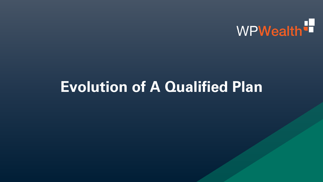

## **Evolution of A Qualified Plan**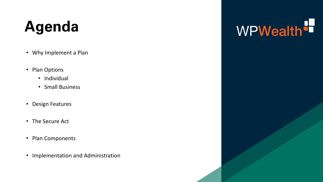## **Agenda**

- Why Implement a Plan
- Plan Options
	- Individual
	- Small Business
- Design Features
- The Secure Act
- Plan Components
- Implementation and Administration

# WPWealth<sup>t</sup>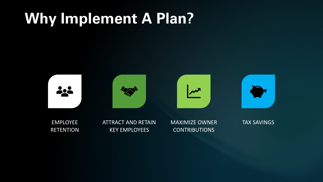## **Why Implement A Plan?**



EMPLOYEE **RETENTION**  ATTRACT AND RETAIN KEY EMPLOYEES

MAXIMIZE OWNER CONTRIBUTIONS

TAX SAVINGS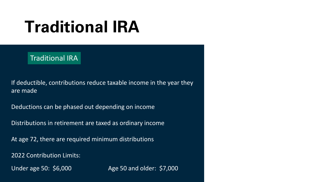## **Traditional IRA**

#### Traditional IRA

If deductible, contributions reduce taxable income in the year they are made

Deductions can be phased out depending on income

Distributions in retirement are taxed as ordinary income

At age 72, there are required minimum distributions

2022 Contribution Limits:

Under age 50: \$6,000 Age 50 and older: \$7,000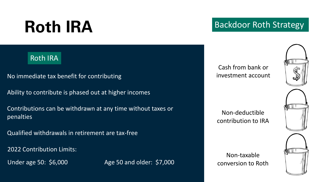## Roth IRA Backdoor Roth Strategy

#### Roth IRA

- No immediate tax benefit for contributing
- Ability to contribute is phased out at higher incomes
- Contributions can be withdrawn at any time without taxes or penalties
- Qualified withdrawals in retirement are tax-free

2022 Contribution Limits:

Under age 50: \$6,000 Age 50 and older: \$7,000

Cash from bank or investment account



Non-deductible contribution to IRA

Non-taxable

conversion to Roth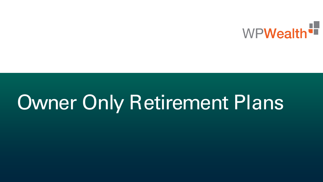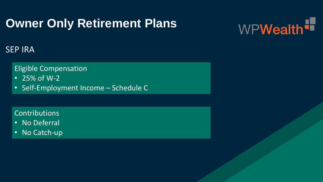

#### SEP IRA

#### Eligible Compensation

- 25% of W-2
- Self-Employment Income Schedule C

#### Contributions

- No Deferral
- No Catch-up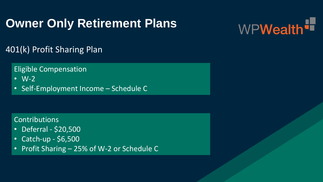

### 401(k) Profit Sharing Plan

Eligible Compensation

- W-2
- Self-Employment Income Schedule C

#### Contributions

- Deferral \$20,500
- Catch-up \$6,500
- Profit Sharing 25% of W-2 or Schedule C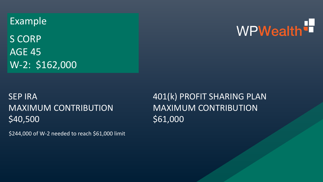Example

S CORP AGE 45 W-2: \$162,000

# WPWealth<sup>t</sup>

### SEP IRA MAXIMUM CONTRIBUTION \$40,500

\$244,000 of W-2 needed to reach \$61,000 limit

401(k) PROFIT SHARING PLAN MAXIMUM CONTRIBUTION \$61,000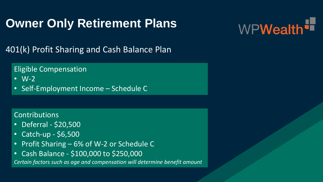

401(k) Profit Sharing and Cash Balance Plan

Eligible Compensation

- W-2
- Self-Employment Income Schedule C

#### Contributions

- Deferral \$20,500
- Catch-up \$6,500
- Profit Sharing 6% of W-2 or Schedule C
- Cash Balance \$100,000 to \$250,000

*Certain factors such as age and compensation will determine benefit amount*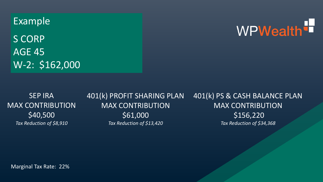Example

S CORP AGE 45 W-2: \$162,000 WPWealth<sup>t</sup>

SEP IRA MAX CONTRIBUTION \$40,500 *Tax Reduction of \$8,910*

401(k) PROFIT SHARING PLAN MAX CONTRIBUTION \$61,000 *Tax Reduction of \$13,420* 401(k) PS & CASH BALANCE PLAN MAX CONTRIBUTION \$156,220 *Tax Reduction of \$34,368*

Marginal Tax Rate: 22%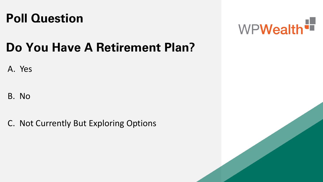### **Poll Question**



## **Do You Have A Retirement Plan?**

### A. Yes

### B. No

C. Not Currently But Exploring Options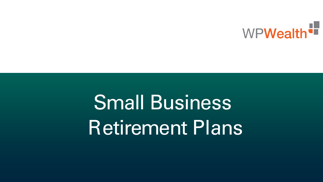

# Small Business Retirement Plans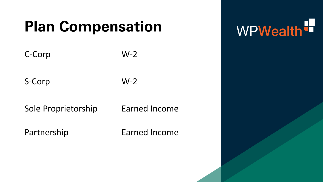## **Plan Compensation**

| C-Corp              | $W-2$                |
|---------------------|----------------------|
| S-Corp              | $W-2$                |
| Sole Proprietorship | <b>Earned Income</b> |
| Partnership         | <b>Earned Income</b> |

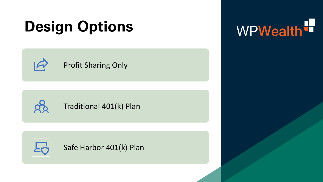## **Design Options**



### Profit Sharing Only



### Traditional 401(k) Plan



Safe Harbor 401(k) Plan

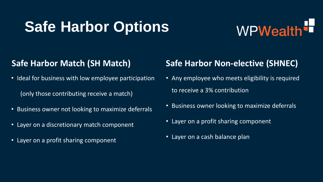## **Safe Harbor Options**

# WPWealth<sup>'n</sup>

### **Safe Harbor Match (SH Match)**

- Ideal for business with low employee participation (only those contributing receive a match)
- Business owner not looking to maximize deferrals
- Layer on a discretionary match component
- Layer on a profit sharing component

### **Safe Harbor Non-elective (SHNEC)**

- Any employee who meets eligibility is required to receive a 3% contribution
- Business owner looking to maximize deferrals
- Layer on a profit sharing component
- Layer on a cash balance plan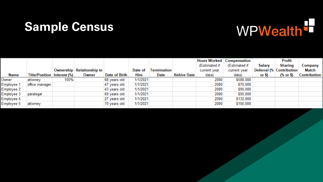### **Sample Census**



|            |                                        |      |                           |               |          |                    |                    |               | <b>Hours Worked   Compensation</b> |         | <b>Profit</b>            |                     |
|------------|----------------------------------------|------|---------------------------|---------------|----------|--------------------|--------------------|---------------|------------------------------------|---------|--------------------------|---------------------|
|            |                                        |      |                           |               |          |                    |                    | (Estimated if | (Estimated if                      | Salary  | <b>Sharing</b>           | Company             |
|            |                                        |      | Ownership Relationship to |               | Date of  | <b>Termination</b> |                    | current year  | current year                       |         | Deferral (% Contribution | <b>Match</b>        |
| Name       | <b>Title/Position   Interest (%)  </b> |      | Owner                     | Date of Birth | Hire     | Date               | <b>Rehire Date</b> | data)         | data)                              | or $$)$ | (% or \$)                | <b>Contribution</b> |
| Owner      | attorney                               | 100% |                           | 68 years old  | 1/1/2021 |                    |                    | 2080          | \$588,000                          |         |                          |                     |
| Employee 1 | office manager                         |      |                           | 47 years old  | 1/1/2021 |                    |                    | 2080          | \$70,000                           |         |                          |                     |
| Employee 2 |                                        |      |                           | 43 years old  | 1/1/2021 |                    |                    | 2080          | \$90,000                           |         |                          |                     |
| Employee 3 | paralegal                              |      |                           | 69 years old  | 1/1/2021 |                    |                    | 2080          | \$95,000                           |         |                          |                     |
| Employee 4 |                                        |      |                           | 27 years old  | 1/1/2021 |                    |                    | 2080          | \$132,000                          |         |                          |                     |
| Employee 5 | attorney                               |      |                           | 70 years old  | 1/1/2021 |                    |                    | 2080          | \$100,000                          |         |                          |                     |
|            |                                        |      |                           |               |          |                    |                    |               |                                    |         |                          |                     |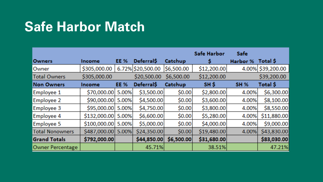## **Safe Harbor Match**

|                        |              |             |                    |            | <b>Safe Harbor</b> | <b>Safe</b> |                   |
|------------------------|--------------|-------------|--------------------|------------|--------------------|-------------|-------------------|
| <b>Owners</b>          | Income       | <b>EE %</b> | <b>Deferral</b> \$ | Catchup    |                    | Harbor %    | Total \$          |
| Owner                  | \$305,000.00 |             | 6.72% \$20,500.00  | \$6,500.00 | \$12,200.00        |             | 4.00% \$39,200.00 |
| <b>Total Owners</b>    | \$305,000.00 |             | \$20,500.00        | \$6,500.00 | \$12,200.00        |             | \$39,200.00       |
| <b>Non Owners</b>      | Income       | <b>EE %</b> | <b>Deferral</b> \$ | Catchup    | SH \$              | <b>SH %</b> | <b>Total \$</b>   |
| Employee 1             | \$70,000.00  | 5.00%       | \$3,500.00         | \$0.00     | \$2,800.00         | 4.00%       | \$6,300.00        |
| Employee 2             | \$90,000.00  | 5.00%       | \$4,500.00         | \$0.00     | \$3,600.00         | 4.00%       | \$8,100.00        |
| Employee 3             | \$95,000.00  | 5.00%       | \$4,750.00         | \$0.00     | \$3,800.00         | 4.00%       | \$8,550.00        |
| Employee 4             | \$132,000.00 | 5.00%       | \$6,600.00         | 50.00      | \$5,280.00         | 4.00%       | \$11,880.00       |
| Employee 5             | \$100,000.00 | 5.00%       | \$5,000.00         | \$0.00     | \$4,000.00]        | 4.00%       | \$9,000.00        |
| <b>Total Nonowners</b> | \$487,000.00 | 5.00%       | \$24,350.00        | \$0.00     | \$19,480.00        | 4.00%       | \$43,830.00       |
| <b>Grand Totals</b>    | \$792,000.00 |             | \$44,850.00        | \$6,500.00 | \$31,680.00        |             | \$83,030.00       |
| Owner Percentage       |              |             | 45.71%             |            | 38.51%             |             | 47.21%            |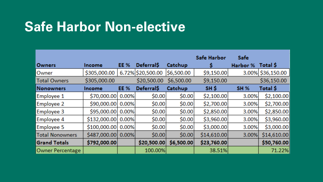## **Safe Harbor Non-elective**

|                        |                    |             |                    |                    | <b>Safe Harbor</b> | <b>Safe</b> |                   |
|------------------------|--------------------|-------------|--------------------|--------------------|--------------------|-------------|-------------------|
| Owners                 | Income             | <b>EE %</b> | <b>Deferral</b> S  | Catchup            |                    | Harbor %    | Total \$          |
| Owner                  | \$305,000.00       |             | 6.72% \$20,500.00  | \$6,500.00         | \$9,150.00         |             | 3.00% \$36,150.00 |
| <b>Total Owners</b>    | \$305,000.00       |             | \$20,500.00        | \$6,500.00         | \$9,150.00         |             | \$36,150.00       |
| <b>Nonowners</b>       | Income             | <b>EE %</b> | <b>Deferral</b> \$ | Catchup            | SH \$              | <b>SH %</b> | Total \$          |
| Employee 1             | \$70,000.00        | 0.00%       | \$0.00             | \$0.00             | \$2,100.00         | 3.00%       | \$2,100.00        |
| Employee 2             | \$90,000.00        | 0.00%       | \$0.00             | \$0.00             | \$2,700.00         | 3.00%       | \$2,700.00        |
| Employee 3             | \$95,000.00 0.00%  |             | \$0.00             | S <sub>0</sub> .00 | \$2,850.00         | 3.00%       | \$2,850.00        |
| Employee 4             | \$132,000.00 0.00% |             | \$0.00             | \$0.00             | \$3,960.00         | 3.00%       | \$3,960.00        |
| Employee 5             | \$100,000.00 0.00% |             | 50.00              | \$0.00             | \$3,000.00         | 3.00%       | \$3,000.00        |
| <b>Total Nonowners</b> | \$487,000.00       | $0.00\%$    | \$0.00             | \$0.00             | \$14,610.00        | 3.00%       | \$14,610.00       |
| <b>Grand Totals</b>    | \$792,000.00       |             | \$20,500.00        | \$6,500.00         | \$23,760.00        |             | \$50,760.00       |
| Owner Percentage       |                    |             | 100.00%            |                    | 38.51%             |             | 71.22%            |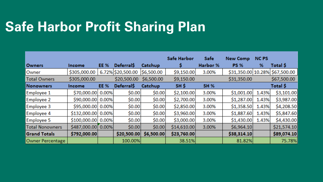## **Safe Harbor Profit Sharing Plan**

|                        |                    |             |                    |            | <b>Safe Harbor</b> | <b>Safe</b> | <b>New Comp</b> | <b>NCPS</b> |                                |
|------------------------|--------------------|-------------|--------------------|------------|--------------------|-------------|-----------------|-------------|--------------------------------|
| <b>Owners</b>          | Income             | EE %        | <b>Deferral</b> \$ | Catchup    |                    | Harbor %    | <b>PS %</b>     | %           | Total \$                       |
| Owner                  | \$305,000.00       |             | 6.72% \$20,500.00  | \$6,500.00 | \$9,150.00         | 3.00%       |                 |             | \$31,350.00 10.28% \$67,500.00 |
| <b>Total Owners</b>    | \$305,000.00       |             | \$20,500.00        | \$6,500.00 | \$9,150.00         |             | \$31,350.00     |             | \$67,500.00                    |
| Nonowners              | Income             | <b>EE %</b> | Deferral\$         | Catchup    | SH \$              | <b>SH %</b> |                 |             | Total \$                       |
| Employee 1             | \$70,000.00        | 0.00%       | \$0.00             | \$0.00     | \$2,100.00         | 3.00%       | \$1,001.00      | 1.43%       | \$3,101.00                     |
| Employee 2             | \$90,000.00 0.00%  |             | \$0.00             | \$0.00     | \$2,700.00         | 3.00%       | \$1,287.00      | 1.43%       | \$3,987.00                     |
| Employee 3             | \$95,000.00 0.00%  |             | \$0.00             | \$0.00     | \$2,850.00         | 3.00%       | \$1,358.50      | 1.43%       | \$4,208.50                     |
| Employee 4             | \$132,000.00 0.00% |             | \$0.00             | \$0.00     | \$3,960.00         | 3.00%       | \$1,887.60      | 1.43%       | \$5,847.60                     |
| Employee 5             | \$100,000.00 0.00% |             | \$0.00             | \$0.00     | \$3,000.00         | 3.00%       | \$1,430.00      | 1.43%       | \$4,430.00                     |
| <b>Total Nonowners</b> | \$487,000.00 0.00% |             | \$0.00             | \$0.00     | \$14,610.00        | 3.00%       | \$6,964.10      |             | \$21,574.10                    |
| <b>Grand Totals</b>    | \$792,000.00       |             | \$20,500.00        | \$6,500.00 | \$23,760.00        |             | \$38,314.10     |             | \$89,074.10                    |
| Owner Percentage       |                    |             | 100.00%            |            | 38.51%             |             | 81.82%          |             | 75.78%                         |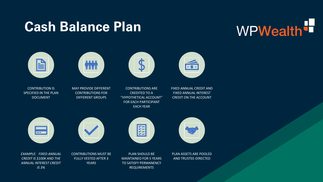### **Cash Balance Plan**

# WPWealth<sup>t</sup>







CONTRIBUTION IS SPECIFIED IN THE PLAN DOCUMENT

MAY PROVIDE DIFFERENT CONTRIBUTIONS FOR DIFFERENT GROUPS

CONTRIBUTIONS ARE CREDITED TO A "HYPOTHETICAL ACCOUNT" FOR EACH PARTICIPANT EACH YEAR

FIXED ANNUAL CREDIT AND FIXED ANNUAL INTEREST CREDIT ON THE ACCOUNT

命



*EXAMPLE: FIXED ANNUAL CREDIT IS \$100K AND THE ANNUAL INTEREST CREDIT IS 3%*



CONTRIBUTIONS MUST BE FULLY VESTED AFTER 3 YEARS



篮

PLAN ASSETS ARE POOLED AND TRUSTEE-DIRECTED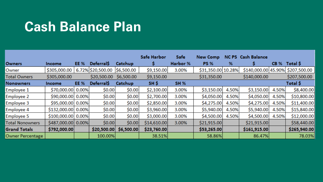### **Cash Balance Plan**

|                        |                    |             |                    |            | <b>Safe Harbor</b> | <b>Safe</b> | <b>New Comp</b>    |       | <b>NC PS</b> Cash Balance |             |                                  |
|------------------------|--------------------|-------------|--------------------|------------|--------------------|-------------|--------------------|-------|---------------------------|-------------|----------------------------------|
| <b>Owners</b>          | Income             | EE %        | <b>Deferral</b> \$ | Catchup    |                    | Harbor %    | <b>PS %</b>        | %     |                           | <b>CB %</b> | Total \$                         |
| Owner                  | \$305,000.00       |             | 6.72% \$20,500.00  | \$6,500.00 | \$9,150.00         | 3.00%       | \$31,350.00 10.28% |       |                           |             | \$140,000.00 45.90% \$207,500.00 |
| <b>Total Owners</b>    | \$305,000.00       |             | \$20,500.00        | \$6,500.00 | \$9,150.00         |             | \$31,350.00        |       | \$140,000.00              |             | \$207,500.00                     |
| <b>Nonowners</b>       | Income             | <b>EE %</b> | <b>Deferral</b> \$ | Catchup    | SH \$              | <b>SH %</b> |                    |       |                           |             | Total \$                         |
| Employee 1             | \$70,000.00        | 0.00%       | \$0.00             | \$0.00     | \$2,100.00         | 3.00%       | \$3,150.00         | 4.50% | \$3,150.00                | 4.50%       | \$8,400.00                       |
| Employee 2             | \$90,000.00 0.00%  |             | \$0.00             | \$0.00     | \$2,700.00         | 3.00%       | \$4,050.00         | 4.50% | \$4,050.00                | 4.50%       | \$10,800.00                      |
| Employee 3             | \$95,000.00 0.00%  |             | \$0.00             | \$0.00     | \$2,850.00         | 3.00%       | \$4,275.00         | 4.50% | \$4,275.00                | 4.50%       | \$11,400.00                      |
| Employee 4             | \$132,000.00 0.00% |             | \$0.00             | \$0.00     | \$3,960.00         | 3.00%       | \$5,940.00         | 4.50% | \$5,940.00                | 4.50%       | \$15,840.00                      |
| Employee 5             | \$100,000.00 0.00% |             | \$0.00             | \$0.00     | \$3,000.00         | 3.00%       | \$4,500.00         | 4.50% | \$4,500.00                | 4.50%       | \$12,000.00                      |
| <b>Total Nonowners</b> | \$487,000.00 0.00% |             | \$0.00             | \$0.00     | \$14,610.00        | 3.00%       | \$21,915.00        |       | \$21,915.00               |             | \$58,440.00                      |
| <b>Grand Totals</b>    | \$792,000.00       |             | \$20,500.00        | \$6,500.00 | \$23,760.00        |             | \$53,265.00        |       | \$161,915.00              |             | \$265,940.00                     |
| Owner Percentage       |                    |             | 100.00%            |            | 38.51%             |             | 58.86%             |       | 86.47%                    |             | 78.03%                           |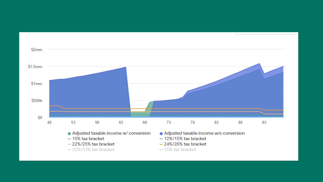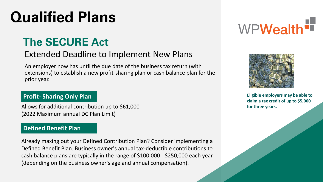## **Qualified Plans**

### **The SECURE Act**

### Extended Deadline to Implement New Plans

An employer now has until the due date of the business tax return (with extensions) to establish a new profit-sharing plan or cash balance plan for the prior year.

#### **Profit- Sharing Only Plan**

Allows for additional contribution up to \$61,000 (2022 Maximum annual DC Plan Limit)

#### **Defined Benefit Plan**

Already maxing out your Defined Contribution Plan? Consider implementing a Defined Benefit Plan. Business owner's annual tax-deductible contributions to cash balance plans are typically in the range of \$100,000 - \$250,000 each year (depending on the business owner's age and annual compensation).





**Eligible employers may be able to claim a tax credit of up to \$5,000 for three years.**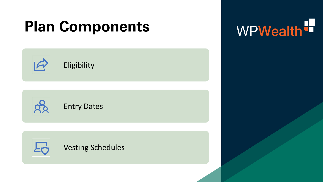## **Plan Components**



WPWealth<sup>t</sup>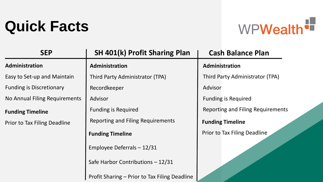## **Quick Facts**



| <b>SEP</b>                      | <b>SH 401(k) Profit Sharing Plan</b>          | <b>Cash Balance Plan</b>                 |
|---------------------------------|-----------------------------------------------|------------------------------------------|
| Administration                  | Administration                                | Administration                           |
| Easy to Set-up and Maintain     | Third Party Administrator (TPA)               | Third Party Administrator (TPA)          |
| <b>Funding is Discretionary</b> | Recordkeeper                                  | Advisor                                  |
| No Annual Filing Requirements   | Advisor                                       | <b>Funding is Required</b>               |
| <b>Funding Timeline</b>         | <b>Funding is Required</b>                    | <b>Reporting and Filing Requirements</b> |
| Prior to Tax Filing Deadline    | <b>Reporting and Filing Requirements</b>      | <b>Funding Timeline</b>                  |
|                                 | <b>Funding Timeline</b>                       | Prior to Tax Filing Deadline             |
|                                 | Employee Deferrals - 12/31                    |                                          |
|                                 | Safe Harbor Contributions - 12/31             |                                          |
|                                 | Profit Sharing – Prior to Tax Filing Deadline |                                          |